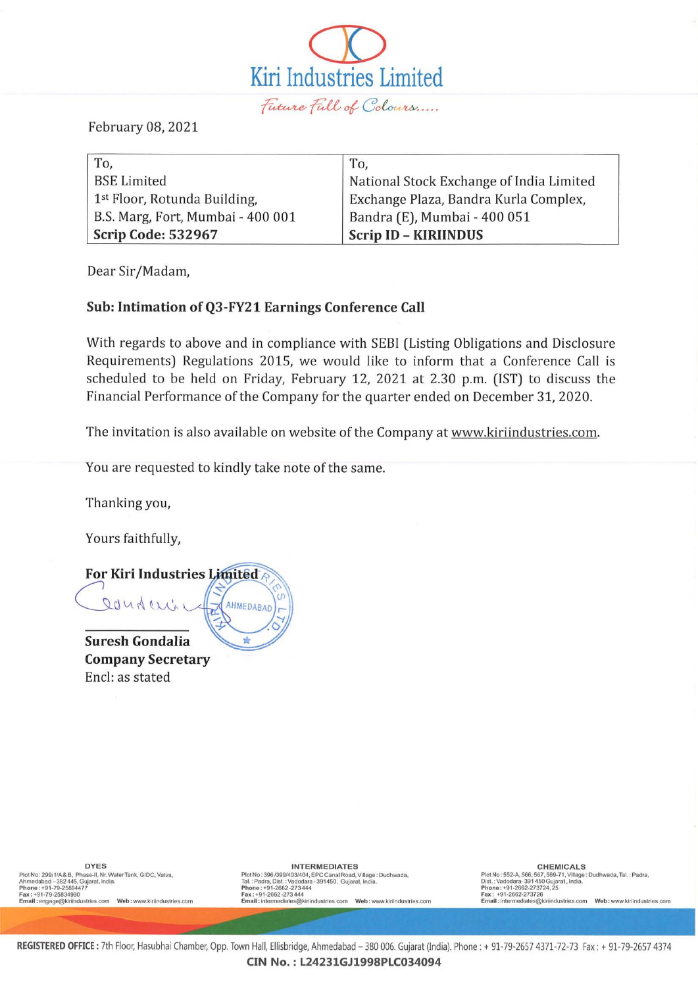$\overline{\mathcal{Q}}$ Kiri Industries Limited Future Full of Colours.....

February 08, 2021

| To,                                      | To.                                      |
|------------------------------------------|------------------------------------------|
| <b>BSE Limited</b>                       | National Stock Exchange of India Limited |
| 1 <sup>st</sup> Floor, Rotunda Building, | Exchange Plaza, Bandra Kurla Complex,    |
| B.S. Marg, Fort, Mumbai - 400 001        | Bandra (E), Mumbai - 400 051             |
| Scrip Code: 532967                       | <b>Scrip ID - KIRIINDUS</b>              |

Dear Sir/Madam,

## Sub: Intimation ofQ3-FY21 Earnings Conference Call

With regards to above and in compliance with SEBI (Listing Obligations and Disclosure Requirements) Regulations 2015, we would like to inform that a Conference Call is scheduled to be held on Friday, February 12, 2021 at 2.30 p.m. (IST) to discuss the Financial Performance of the Company for the quarter ended on December 31, 2020.

The invitation is also available on website of the Company at www.kiriindustries.com.

You are requested to kindly take note of the same.

Thanking you,

Yours faithfully,



Company Secretary Encl: as stated

DYES<br>PlotNo: 299/1/A& B., Phase-II, Nr. Water Tank, GIDC, Vatva,<br>Ahmedabad - 382 445, Gujarat, India.<br>Phone : +91-79-25894477<br>Email : engage@kiriindustries.com Web : www.kiriindustries.com<br>Email : engage@kiriindustries.com

**INTERMEDIATES** 

Plot No : 396/399/403/404, EPC Canal Road, Village : Dudhwada,<br>Tal. : Padra, Dist. : Vadodara - 391450. Gujarat, India.<br>Phone : +91-2662-273 444<br>Fanall : intermediates@kiriindustries.com Web : www.kiriindustries.com<br>

**C H EM ICALS**  Plot No : 552-A, 566, 567, 569-71, Village : Dudhwada, Tal. : Padra,<br>Dist. : Vadodara-391 450 Gujarat , India.<br>Phone : +91-2662-273724, 25<br>Fara : +91-2662-273724, 25<br>Email : intermediates@kiriindustries.com Web : www

REGISTERED OFFICE: 7th Floor, Hasubhai Chamber, Opp. Town Hall, Ellisbridge, Ahmedabad - 380 006. Gujarat (India). Phone: + 91-79-2657 4371-72-73 Fax: + 91-79-2657 4374 CIN NO.: L24231GJ1998PLC034094